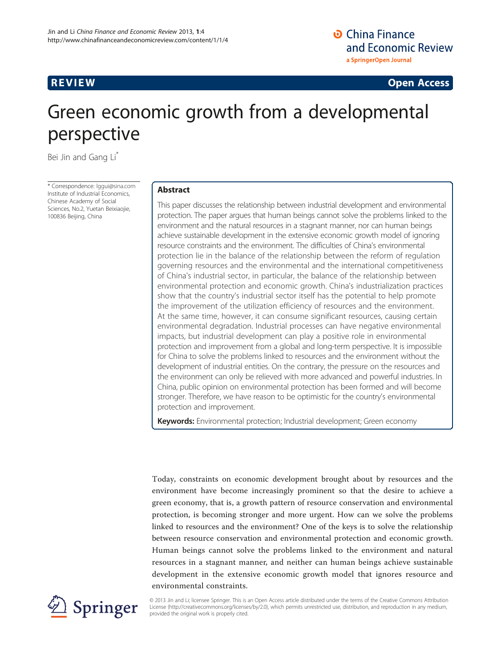**REVIEW REVIEW CONSTRUCTER CONSTRUCTION** 

# Green economic growth from a developmental perspective

Bei Jin and Gang Li<sup>\*</sup>

\* Correspondence: [lggui@sina.com](mailto:lggui@sina.com) Institute of Industrial Economics, Chinese Academy of Social Sciences, No.2, Yuetan Beixiaojie, 100836 Beijing, China

## Abstract

This paper discusses the relationship between industrial development and environmental protection. The paper argues that human beings cannot solve the problems linked to the environment and the natural resources in a stagnant manner, nor can human beings achieve sustainable development in the extensive economic growth model of ignoring resource constraints and the environment. The difficulties of China's environmental protection lie in the balance of the relationship between the reform of regulation governing resources and the environmental and the international competitiveness of China's industrial sector, in particular, the balance of the relationship between environmental protection and economic growth. China's industrialization practices show that the country's industrial sector itself has the potential to help promote the improvement of the utilization efficiency of resources and the environment. At the same time, however, it can consume significant resources, causing certain environmental degradation. Industrial processes can have negative environmental impacts, but industrial development can play a positive role in environmental protection and improvement from a global and long-term perspective. It is impossible for China to solve the problems linked to resources and the environment without the development of industrial entities. On the contrary, the pressure on the resources and the environment can only be relieved with more advanced and powerful industries. In China, public opinion on environmental protection has been formed and will become stronger. Therefore, we have reason to be optimistic for the country's environmental protection and improvement.

Keywords: Environmental protection; Industrial development; Green economy

Today, constraints on economic development brought about by resources and the environment have become increasingly prominent so that the desire to achieve a green economy, that is, a growth pattern of resource conservation and environmental protection, is becoming stronger and more urgent. How can we solve the problems linked to resources and the environment? One of the keys is to solve the relationship between resource conservation and environmental protection and economic growth. Human beings cannot solve the problems linked to the environment and natural resources in a stagnant manner, and neither can human beings achieve sustainable development in the extensive economic growth model that ignores resource and environmental constraints.



© 2013 Jin and Li; licensee Springer. This is an Open Access article distributed under the terms of the Creative Commons Attribution License [\(http://creativecommons.org/licenses/by/2.0\)](http://creativecommons.org/licenses/by/2.0), which permits unrestricted use, distribution, and reproduction in any medium, provided the original work is properly cited.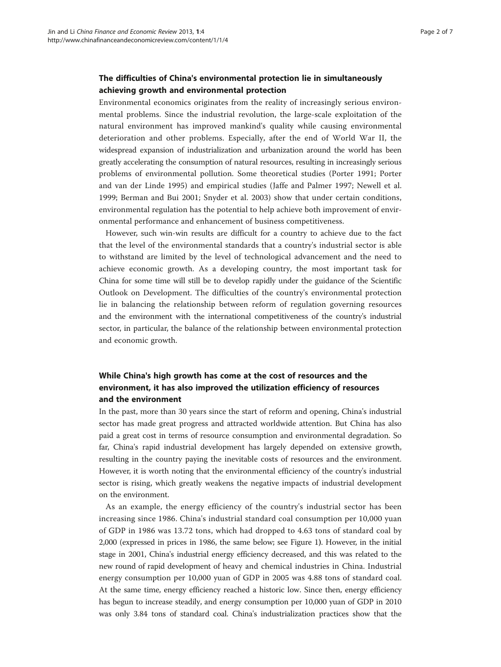# The difficulties of China's environmental protection lie in simultaneously achieving growth and environmental protection

Environmental economics originates from the reality of increasingly serious environmental problems. Since the industrial revolution, the large-scale exploitation of the natural environment has improved mankind's quality while causing environmental deterioration and other problems. Especially, after the end of World War II, the widespread expansion of industrialization and urbanization around the world has been greatly accelerating the consumption of natural resources, resulting in increasingly serious problems of environmental pollution. Some theoretical studies (Porter [1991](#page-6-0); Porter and van der Linde [1995\)](#page-6-0) and empirical studies (Jaffe and Palmer [1997](#page-6-0); Newell et al. [1999;](#page-6-0) Berman and Bui [2001](#page-6-0); Snyder et al. [2003](#page-6-0)) show that under certain conditions, environmental regulation has the potential to help achieve both improvement of environmental performance and enhancement of business competitiveness.

However, such win-win results are difficult for a country to achieve due to the fact that the level of the environmental standards that a country's industrial sector is able to withstand are limited by the level of technological advancement and the need to achieve economic growth. As a developing country, the most important task for China for some time will still be to develop rapidly under the guidance of the Scientific Outlook on Development. The difficulties of the country's environmental protection lie in balancing the relationship between reform of regulation governing resources and the environment with the international competitiveness of the country's industrial sector, in particular, the balance of the relationship between environmental protection and economic growth.

# While China's high growth has come at the cost of resources and the environment, it has also improved the utilization efficiency of resources and the environment

In the past, more than 30 years since the start of reform and opening, China's industrial sector has made great progress and attracted worldwide attention. But China has also paid a great cost in terms of resource consumption and environmental degradation. So far, China's rapid industrial development has largely depended on extensive growth, resulting in the country paying the inevitable costs of resources and the environment. However, it is worth noting that the environmental efficiency of the country's industrial sector is rising, which greatly weakens the negative impacts of industrial development on the environment.

As an example, the energy efficiency of the country's industrial sector has been increasing since 1986. China's industrial standard coal consumption per 10,000 yuan of GDP in 1986 was 13.72 tons, which had dropped to 4.63 tons of standard coal by 2,000 (expressed in prices in 1986, the same below; see Figure [1](#page-2-0)). However, in the initial stage in 2001, China's industrial energy efficiency decreased, and this was related to the new round of rapid development of heavy and chemical industries in China. Industrial energy consumption per 10,000 yuan of GDP in 2005 was 4.88 tons of standard coal. At the same time, energy efficiency reached a historic low. Since then, energy efficiency has begun to increase steadily, and energy consumption per 10,000 yuan of GDP in 2010 was only 3.84 tons of standard coal. China's industrialization practices show that the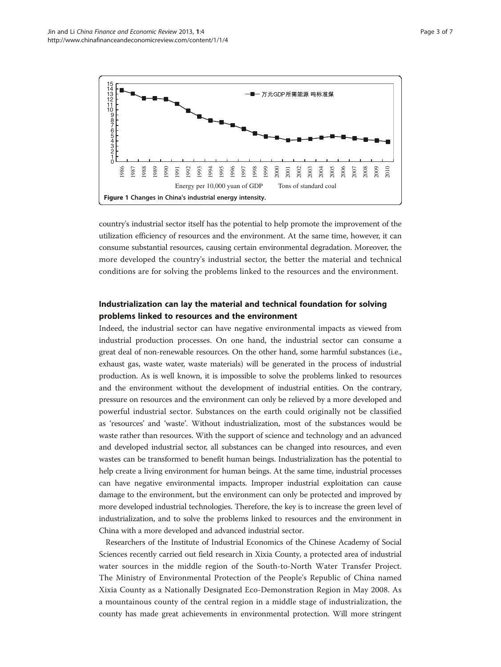<span id="page-2-0"></span>

country's industrial sector itself has the potential to help promote the improvement of the utilization efficiency of resources and the environment. At the same time, however, it can consume substantial resources, causing certain environmental degradation. Moreover, the more developed the country's industrial sector, the better the material and technical conditions are for solving the problems linked to the resources and the environment.

## Industrialization can lay the material and technical foundation for solving problems linked to resources and the environment

Indeed, the industrial sector can have negative environmental impacts as viewed from industrial production processes. On one hand, the industrial sector can consume a great deal of non-renewable resources. On the other hand, some harmful substances (i.e., exhaust gas, waste water, waste materials) will be generated in the process of industrial production. As is well known, it is impossible to solve the problems linked to resources and the environment without the development of industrial entities. On the contrary, pressure on resources and the environment can only be relieved by a more developed and powerful industrial sector. Substances on the earth could originally not be classified as 'resources' and 'waste'. Without industrialization, most of the substances would be waste rather than resources. With the support of science and technology and an advanced and developed industrial sector, all substances can be changed into resources, and even wastes can be transformed to benefit human beings. Industrialization has the potential to help create a living environment for human beings. At the same time, industrial processes can have negative environmental impacts. Improper industrial exploitation can cause damage to the environment, but the environment can only be protected and improved by more developed industrial technologies. Therefore, the key is to increase the green level of industrialization, and to solve the problems linked to resources and the environment in China with a more developed and advanced industrial sector.

Researchers of the Institute of Industrial Economics of the Chinese Academy of Social Sciences recently carried out field research in Xixia County, a protected area of industrial water sources in the middle region of the South-to-North Water Transfer Project. The Ministry of Environmental Protection of the People's Republic of China named Xixia County as a Nationally Designated Eco-Demonstration Region in May 2008. As a mountainous county of the central region in a middle stage of industrialization, the county has made great achievements in environmental protection. Will more stringent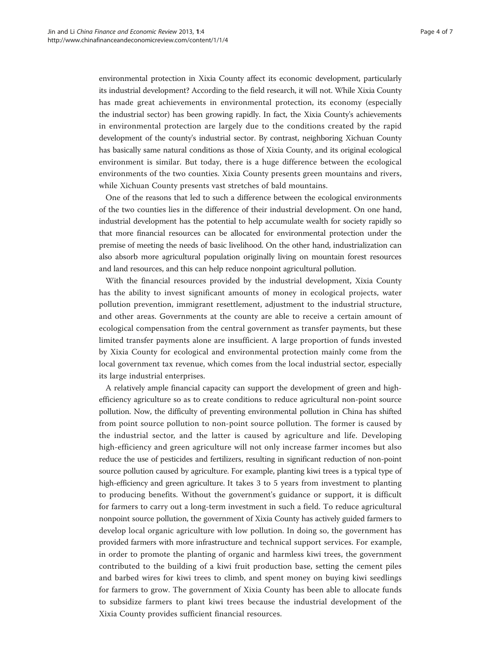environmental protection in Xixia County affect its economic development, particularly its industrial development? According to the field research, it will not. While Xixia County has made great achievements in environmental protection, its economy (especially the industrial sector) has been growing rapidly. In fact, the Xixia County's achievements in environmental protection are largely due to the conditions created by the rapid development of the county's industrial sector. By contrast, neighboring Xichuan County has basically same natural conditions as those of Xixia County, and its original ecological environment is similar. But today, there is a huge difference between the ecological environments of the two counties. Xixia County presents green mountains and rivers, while Xichuan County presents vast stretches of bald mountains.

One of the reasons that led to such a difference between the ecological environments of the two counties lies in the difference of their industrial development. On one hand, industrial development has the potential to help accumulate wealth for society rapidly so that more financial resources can be allocated for environmental protection under the premise of meeting the needs of basic livelihood. On the other hand, industrialization can also absorb more agricultural population originally living on mountain forest resources and land resources, and this can help reduce nonpoint agricultural pollution.

With the financial resources provided by the industrial development, Xixia County has the ability to invest significant amounts of money in ecological projects, water pollution prevention, immigrant resettlement, adjustment to the industrial structure, and other areas. Governments at the county are able to receive a certain amount of ecological compensation from the central government as transfer payments, but these limited transfer payments alone are insufficient. A large proportion of funds invested by Xixia County for ecological and environmental protection mainly come from the local government tax revenue, which comes from the local industrial sector, especially its large industrial enterprises.

A relatively ample financial capacity can support the development of green and highefficiency agriculture so as to create conditions to reduce agricultural non-point source pollution. Now, the difficulty of preventing environmental pollution in China has shifted from point source pollution to non-point source pollution. The former is caused by the industrial sector, and the latter is caused by agriculture and life. Developing high-efficiency and green agriculture will not only increase farmer incomes but also reduce the use of pesticides and fertilizers, resulting in significant reduction of non-point source pollution caused by agriculture. For example, planting kiwi trees is a typical type of high-efficiency and green agriculture. It takes 3 to 5 years from investment to planting to producing benefits. Without the government's guidance or support, it is difficult for farmers to carry out a long-term investment in such a field. To reduce agricultural nonpoint source pollution, the government of Xixia County has actively guided farmers to develop local organic agriculture with low pollution. In doing so, the government has provided farmers with more infrastructure and technical support services. For example, in order to promote the planting of organic and harmless kiwi trees, the government contributed to the building of a kiwi fruit production base, setting the cement piles and barbed wires for kiwi trees to climb, and spent money on buying kiwi seedlings for farmers to grow. The government of Xixia County has been able to allocate funds to subsidize farmers to plant kiwi trees because the industrial development of the Xixia County provides sufficient financial resources.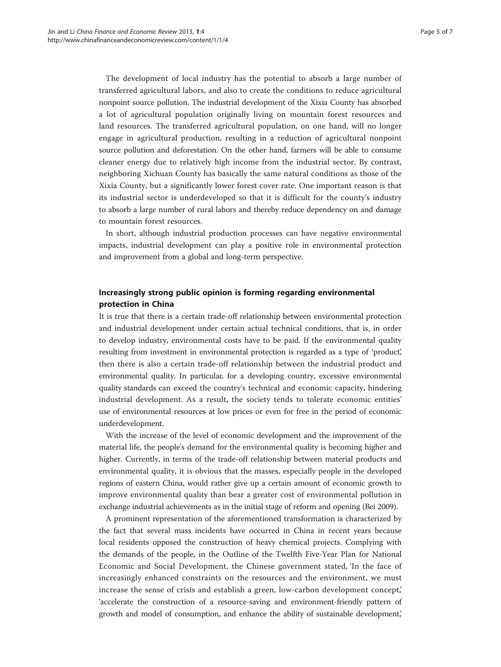The development of local industry has the potential to absorb a large number of transferred agricultural labors, and also to create the conditions to reduce agricultural nonpoint source pollution. The industrial development of the Xixia County has absorbed a lot of agricultural population originally living on mountain forest resources and land resources. The transferred agricultural population, on one hand, will no longer engage in agricultural production, resulting in a reduction of agricultural nonpoint source pollution and deforestation. On the other hand, farmers will be able to consume cleaner energy due to relatively high income from the industrial sector. By contrast, neighboring Xichuan County has basically the same natural conditions as those of the Xixia County, but a significantly lower forest cover rate. One important reason is that its industrial sector is underdeveloped so that it is difficult for the county's industry to absorb a large number of rural labors and thereby reduce dependency on and damage to mountain forest resources.

In short, although industrial production processes can have negative environmental impacts, industrial development can play a positive role in environmental protection and improvement from a global and long-term perspective.

# Increasingly strong public opinion is forming regarding environmental protection in China

It is true that there is a certain trade-off relationship between environmental protection and industrial development under certain actual technical conditions, that is, in order to develop industry, environmental costs have to be paid. If the environmental quality resulting from investment in environmental protection is regarded as a type of 'product', then there is also a certain trade-off relationship between the industrial product and environmental quality. In particular, for a developing country, excessive environmental quality standards can exceed the country's technical and economic capacity, hindering industrial development. As a result, the society tends to tolerate economic entities' use of environmental resources at low prices or even for free in the period of economic underdevelopment.

With the increase of the level of economic development and the improvement of the material life, the people's demand for the environmental quality is becoming higher and higher. Currently, in terms of the trade-off relationship between material products and environmental quality, it is obvious that the masses, especially people in the developed regions of eastern China, would rather give up a certain amount of economic growth to improve environmental quality than bear a greater cost of environmental pollution in exchange industrial achievements as in the initial stage of reform and opening (Bei [2009](#page-6-0)).

A prominent representation of the aforementioned transformation is characterized by the fact that several mass incidents have occurred in China in recent years because local residents opposed the construction of heavy chemical projects. Complying with the demands of the people, in the Outline of the Twelfth Five-Year Plan for National Economic and Social Development, the Chinese government stated, 'In the face of increasingly enhanced constraints on the resources and the environment, we must increase the sense of crisis and establish a green, low-carbon development concept,' 'accelerate the construction of a resource-saving and environment-friendly pattern of growth and model of consumption, and enhance the ability of sustainable development,'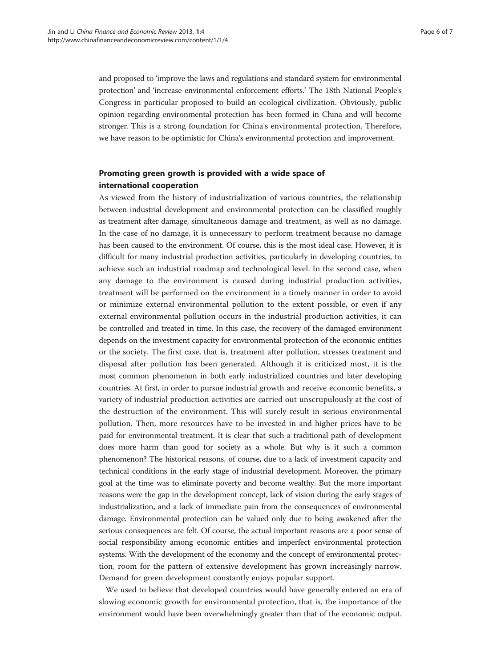and proposed to 'improve the laws and regulations and standard system for environmental protection' and 'increase environmental enforcement efforts.' The 18th National People's Congress in particular proposed to build an ecological civilization. Obviously, public opinion regarding environmental protection has been formed in China and will become stronger. This is a strong foundation for China's environmental protection. Therefore, we have reason to be optimistic for China's environmental protection and improvement.

# Promoting green growth is provided with a wide space of international cooperation

As viewed from the history of industrialization of various countries, the relationship between industrial development and environmental protection can be classified roughly as treatment after damage, simultaneous damage and treatment, as well as no damage. In the case of no damage, it is unnecessary to perform treatment because no damage has been caused to the environment. Of course, this is the most ideal case. However, it is difficult for many industrial production activities, particularly in developing countries, to achieve such an industrial roadmap and technological level. In the second case, when any damage to the environment is caused during industrial production activities, treatment will be performed on the environment in a timely manner in order to avoid or minimize external environmental pollution to the extent possible, or even if any external environmental pollution occurs in the industrial production activities, it can be controlled and treated in time. In this case, the recovery of the damaged environment depends on the investment capacity for environmental protection of the economic entities or the society. The first case, that is, treatment after pollution, stresses treatment and disposal after pollution has been generated. Although it is criticized most, it is the most common phenomenon in both early industrialized countries and later developing countries. At first, in order to pursue industrial growth and receive economic benefits, a variety of industrial production activities are carried out unscrupulously at the cost of the destruction of the environment. This will surely result in serious environmental pollution. Then, more resources have to be invested in and higher prices have to be paid for environmental treatment. It is clear that such a traditional path of development does more harm than good for society as a whole. But why is it such a common phenomenon? The historical reasons, of course, due to a lack of investment capacity and technical conditions in the early stage of industrial development. Moreover, the primary goal at the time was to eliminate poverty and become wealthy. But the more important reasons were the gap in the development concept, lack of vision during the early stages of industrialization, and a lack of immediate pain from the consequences of environmental damage. Environmental protection can be valued only due to being awakened after the serious consequences are felt. Of course, the actual important reasons are a poor sense of social responsibility among economic entities and imperfect environmental protection systems. With the development of the economy and the concept of environmental protection, room for the pattern of extensive development has grown increasingly narrow. Demand for green development constantly enjoys popular support.

We used to believe that developed countries would have generally entered an era of slowing economic growth for environmental protection, that is, the importance of the environment would have been overwhelmingly greater than that of the economic output.